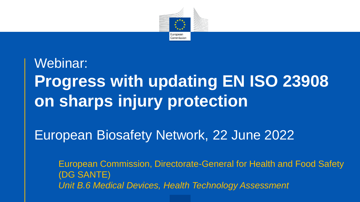

## Webinar: **Progress with updating EN ISO 23908 on sharps injury protection**

#### European Biosafety Network, 22 June 2022

European Commission, Directorate-General for Health and Food Safety (DG SANTE) *Unit B.6 Medical Devices, Health Technology Assessment*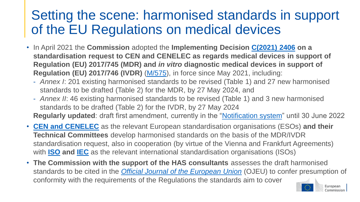#### Setting the scene: harmonised standards in support of the EU Regulations on medical devices

- In April 2021 the **Commission** adopted the **Implementing Decision [C\(2021\) 2406](https://ec.europa.eu/health/system/files/2021-04/c_2021_2406_annex_en_0.pdf) on a standardisation request to CEN and CENELEC as regards medical devices in support of Regulation (EU) 2017/745 (MDR) and** *in vitro* **diagnostic medical devices in support of Regulation (EU) 2017/746 (IVDR)** [\(M/575\)](https://ec.europa.eu/growth/tools-databases/mandates/index.cfm?fuseaction=search.detail&id=599), in force since May 2021, including:
	- *Annex I*: 201 existing harmonised standards to be revised (Table 1) and 27 new harmonised standards to be drafted (Table 2) for the MDR, by 27 May 2024, and
	- *Annex II*: 46 existing harmonised standards to be revised (Table 1) and 3 new harmonised standards to be drafted (Table 2) for the IVDR, by 27 May 2024 **Regularly updated**: draft first amendment, currently in the ["Notification system](https://ec.europa.eu/growth/single-market/european-standards/notification-system_en#future)" until 30 June 2022
- **[CEN and CENELEC](https://www.cencenelec.eu/)** as the relevant European standardisation organisations (ESOs) **and their Technical Committees** develop harmonised standards on the basis of the MDR/IVDR standardisation request, also in cooperation (by virtue of the Vienna and Frankfurt Agreements) with **[ISO](https://www.iso.org/) and [IEC](https://iec.ch/)** as the relevant international standardisation organisations (ISOs)
- **The Commission with the support of the HAS consultants** assesses the draft harmonised standards to be cited in the *[Official Journal of the European Union](https://eur-lex.europa.eu/oj/direct-access.html)* (OJEU) to confer presumption of conformity with the requirements of the Regulations the standards aim to cover

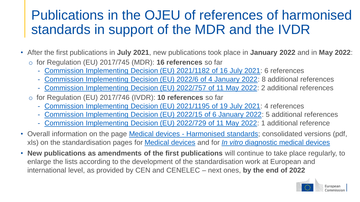#### Publications in the OJEU of references of harmonised standards in support of the MDR and the IVDR

- After the first publications in **July 2021**, new publications took place in **January 2022** and in **May 2022**:
	- o for Regulation (EU) 2017/745 (MDR): **16 references** so far
		- [Commission Implementing Decision \(EU\) 2021/1182 of 16 July 2021](https://eur-lex.europa.eu/eli/dec_impl/2021/1182/oj): 6 references
		- [Commission Implementing Decision \(EU\) 2022/6 of 4 January 2022](https://eur-lex.europa.eu/eli/dec_impl/2022/6/oj): 8 additional references
		- [Commission Implementing Decision \(EU\) 2022/757 of 11 May 2022:](https://eur-lex.europa.eu/eli/dec_impl/2022/757/oj) 2 additional references
	- o for Regulation (EU) 2017/746 (IVDR): **10 references** so far
		- [Commission Implementing Decision \(EU\) 2021/1195 of 19 July 2021](https://eur-lex.europa.eu/eli/dec_impl/2021/1195/oj): 4 references
		- [Commission Implementing Decision \(EU\) 2022/15 of 6 January 2022](https://eur-lex.europa.eu/eli/dec_impl/2022/15/oj): 5 additional references
		- [Commission Implementing Decision \(EU\) 2022/729 of 11 May 2022:](https://eur-lex.europa.eu/eli/dec_impl/2022/729/oj) 1 additional reference
- Overall information on the page Medical devices [Harmonised standards](https://ec.europa.eu/health/medical-devices-topics-interest/harmonised-standards_en); consolidated versions (pdf, xls) on the standardisation pages for [Medical devices](https://ec.europa.eu/growth/single-market/european-standards/harmonised-standards/medical-devices_en) and for *In vitro* [diagnostic medical devices](https://ec.europa.eu/growth/single-market/european-standards/harmonised-standards/iv-diagnostic-medical-devices_en)
- **New publications as amendments of the first publications** will continue to take place regularly, to enlarge the lists according to the development of the standardisation work at European and international level, as provided by CEN and CENELEC – next ones, **by the end of 2022**

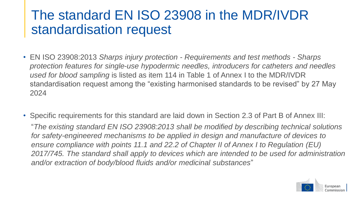#### The standard EN ISO 23908 in the MDR/IVDR standardisation request

- EN ISO 23908:2013 *Sharps injury protection - Requirements and test methods - Sharps protection features for single-use hypodermic needles, introducers for catheters and needles used for blood sampling* is listed as item 114 in Table 1 of Annex I to the MDR/IVDR standardisation request among the "existing harmonised standards to be revised" by 27 May 2024
- Specific requirements for this standard are laid down in Section 2.3 of Part B of Annex III: "*The existing standard EN ISO 23908:2013 shall be modified by describing technical solutions for safety-engineered mechanisms to be applied in design and manufacture of devices to ensure compliance with points 11.1 and 22.2 of Chapter II of Annex I to Regulation (EU) 2017/745. The standard shall apply to devices which are intended to be used for administration and/or extraction of body/blood fluids and/or medicinal substances*"

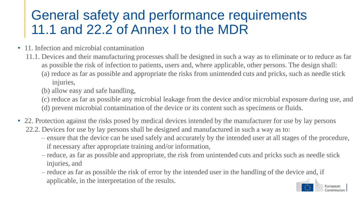#### General safety and performance requirements 11.1 and 22.2 of Annex I to the MDR

- 11. Infection and microbial contamination
	- 11.1. Devices and their manufacturing processes shall be designed in such a way as to eliminate or to reduce as far as possible the risk of infection to patients, users and, where applicable, other persons. The design shall:
		- (a) reduce as far as possible and appropriate the risks from unintended cuts and pricks, such as needle stick injuries,
		- (b) allow easy and safe handling,
		- (c) reduce as far as possible any microbial leakage from the device and/or microbial exposure during use, and
		- (d) prevent microbial contamination of the device or its content such as specimens or fluids.
- 22. Protection against the risks posed by medical devices intended by the manufacturer for use by lay persons 22.2. Devices for use by lay persons shall be designed and manufactured in such a way as to:
	- ensure that the device can be used safely and accurately by the intended user at all stages of the procedure, if necessary after appropriate training and/or information,
	- reduce, as far as possible and appropriate, the risk from unintended cuts and pricks such as needle stick injuries, and
	- reduce as far as possible the risk of error by the intended user in the handling of the device and, if applicable, in the interpretation of the results.

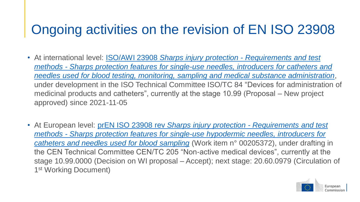### Ongoing activities on the revision of EN ISO 23908

- At international level: ISO/AWI 23908 *Sharps injury protection - Requirements and test methods - Sharps protection features for single-use needles, introducers for catheters and [needles used for blood testing, monitoring, sampling and medical substance administration](https://www.iso.org/standard/83582.html)*, under development in the ISO Technical Committee ISO/TC 84 "Devices for administration of medicinal products and catheters", currently at the stage 10.99 (Proposal – New project approved) since 2021-11-05
- At European level: prEN ISO 23908 rev *Sharps injury protection - Requirements and test methods - [Sharps protection features for single-use hypodermic needles, introducers for](https://standards.cencenelec.eu/dyn/www/f?p=CEN:110:0::::FSP_PROJECT,FSP_ORG_ID:75149,6186&cs=12D526A0D7ED78EDFE5998050B7E94C6E)  catheters and needles used for blood sampling* (Work item n° 00205372), under drafting in the CEN Technical Committee CEN/TC 205 "Non-active medical devices", currently at the stage 10.99.0000 (Decision on WI proposal – Accept); next stage: 20.60.0979 (Circulation of 1st Working Document)